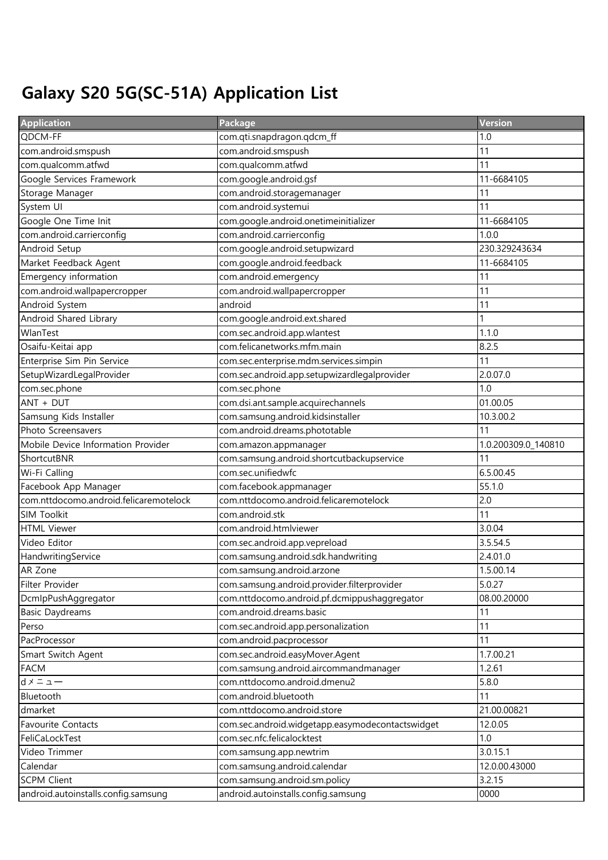## Galaxy S20 5G(SC-51A) Application List

| <b>Application</b>                     | Package                                          | Version             |
|----------------------------------------|--------------------------------------------------|---------------------|
| QDCM-FF                                | com.qti.snapdragon.qdcm_ff                       | 1.0                 |
| com.android.smspush                    | com.android.smspush                              | 11                  |
| com.qualcomm.atfwd                     | com.qualcomm.atfwd                               | 11                  |
| Google Services Framework              | com.google.android.gsf                           | 11-6684105          |
| Storage Manager                        | com.android.storagemanager                       | 11                  |
| System UI                              | com.android.systemui                             | 11                  |
| Google One Time Init                   | com.google.android.onetimeinitializer            | 11-6684105          |
| com.android.carrierconfig              | com.android.carrierconfig                        | 1.0.0               |
| Android Setup                          | com.google.android.setupwizard                   | 230.329243634       |
| Market Feedback Agent                  | com.google.android.feedback                      | 11-6684105          |
| Emergency information                  | com.android.emergency                            | 11                  |
| com.android.wallpapercropper           | com.android.wallpapercropper                     | 11                  |
| Android System                         | android                                          | 11                  |
| Android Shared Library                 | com.google.android.ext.shared                    |                     |
| WlanTest                               | com.sec.android.app.wlantest                     | 1.1.0               |
| Osaifu-Keitai app                      | com.felicanetworks.mfm.main                      | 8.2.5               |
| Enterprise Sim Pin Service             | com.sec.enterprise.mdm.services.simpin           | 11                  |
| SetupWizardLegalProvider               | com.sec.android.app.setupwizardlegalprovider     | 2.0.07.0            |
| com.sec.phone                          | com.sec.phone                                    | 1.0                 |
| ANT + DUT                              | com.dsi.ant.sample.acquirechannels               | 01.00.05            |
| Samsung Kids Installer                 | com.samsung.android.kidsinstaller                | 10.3.00.2           |
| Photo Screensavers                     | com.android.dreams.phototable                    | 11                  |
| Mobile Device Information Provider     | com.amazon.appmanager                            | 1.0.200309.0_140810 |
| ShortcutBNR                            | com.samsung.android.shortcutbackupservice        | 11                  |
| Wi-Fi Calling                          | com.sec.unifiedwfc                               | 6.5.00.45           |
| Facebook App Manager                   | com.facebook.appmanager                          | 55.1.0              |
| com.nttdocomo.android.felicaremotelock | com.nttdocomo.android.felicaremotelock           | 2.0                 |
| SIM Toolkit                            | com.android.stk                                  | 11                  |
| <b>HTML Viewer</b>                     | com.android.htmlviewer                           | 3.0.04              |
| Video Editor                           | com.sec.android.app.vepreload                    | 3.5.54.5            |
| HandwritingService                     | com.samsung.android.sdk.handwriting              | 2.4.01.0            |
| AR Zone                                | com.samsung.android.arzone                       | 1.5.00.14           |
| Filter Provider                        | com.samsung.android.provider.filterprovider      | 5.0.27              |
| DcmlpPushAggregator                    | com.nttdocomo.android.pf.dcmippushaggregator     | 08.00.20000         |
| <b>Basic Daydreams</b>                 | com.android.dreams.basic                         | 11                  |
| Perso                                  | com.sec.android.app.personalization              | 11                  |
| PacProcessor                           | com.android.pacprocessor                         | 11                  |
| Smart Switch Agent                     | com.sec.android.easyMover.Agent                  | 1.7.00.21           |
| <b>FACM</b>                            | com.samsung.android.aircommandmanager            | 1.2.61              |
| $d \times = \pm -$                     | com.nttdocomo.android.dmenu2                     | 5.8.0               |
| Bluetooth                              | com.android.bluetooth                            | 11                  |
| dmarket                                | com.nttdocomo.android.store                      | 21.00.00821         |
| Favourite Contacts                     | com.sec.android.widgetapp.easymodecontactswidget | 12.0.05             |
| FeliCaLockTest                         | com.sec.nfc.felicalocktest                       | 1.0                 |
| Video Trimmer                          | com.samsung.app.newtrim                          | 3.0.15.1            |
| Calendar                               | com.samsung.android.calendar                     | 12.0.00.43000       |
| <b>SCPM Client</b>                     | com.samsung.android.sm.policy                    | 3.2.15              |
| android.autoinstalls.config.samsung    | android.autoinstalls.config.samsung              | 0000                |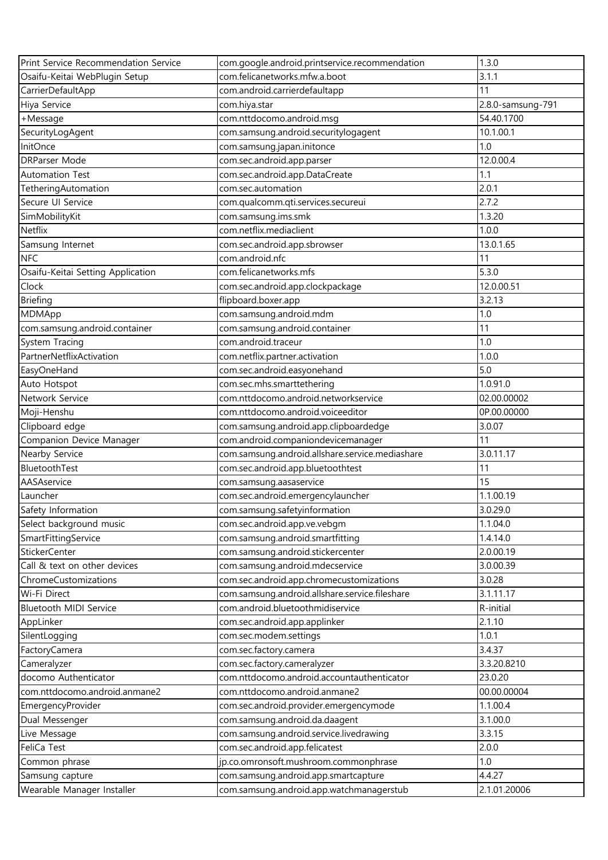| Print Service Recommendation Service | com.google.android.printservice.recommendation  | 1.3.0             |
|--------------------------------------|-------------------------------------------------|-------------------|
| Osaifu-Keitai WebPlugin Setup        | com.felicanetworks.mfw.a.boot                   | 3.1.1             |
| CarrierDefaultApp                    | com.android.carrierdefaultapp                   | 11                |
| Hiya Service                         | com.hiya.star                                   | 2.8.0-samsung-791 |
| +Message                             | com.nttdocomo.android.msg                       | 54.40.1700        |
| SecurityLogAgent                     | com.samsung.android.securitylogagent            | 10.1.00.1         |
| InitOnce                             | com.samsung.japan.initonce                      | 1.0               |
| <b>DRParser Mode</b>                 | com.sec.android.app.parser                      | 12.0.00.4         |
| <b>Automation Test</b>               | com.sec.android.app.DataCreate                  | 1.1               |
| TetheringAutomation                  | com.sec.automation                              | 2.0.1             |
| Secure UI Service                    | com.qualcomm.qti.services.secureui              | 2.7.2             |
| SimMobilityKit                       | com.samsung.ims.smk                             | 1.3.20            |
| Netflix                              | com.netflix.mediaclient                         | 1.0.0             |
| Samsung Internet                     | com.sec.android.app.sbrowser                    | 13.0.1.65         |
| <b>NFC</b>                           | com.android.nfc                                 | 11                |
| Osaifu-Keitai Setting Application    | com.felicanetworks.mfs                          | 5.3.0             |
| Clock                                | com.sec.android.app.clockpackage                | 12.0.00.51        |
| <b>Briefing</b>                      | flipboard.boxer.app                             | 3.2.13            |
| MDMApp                               | com.samsung.android.mdm                         | 1.0               |
| com.samsung.android.container        | com.samsung.android.container                   | 11                |
| System Tracing                       | com.android.traceur                             | 1.0               |
| PartnerNetflixActivation             | com.netflix.partner.activation                  | 1.0.0             |
| EasyOneHand                          | com.sec.android.easyonehand                     | 5.0               |
| Auto Hotspot                         | com.sec.mhs.smarttethering                      | 1.0.91.0          |
| Network Service                      | com.nttdocomo.android.networkservice            | 02.00.00002       |
| Moji-Henshu                          | com.nttdocomo.android.voiceeditor               | 0P.00.00000       |
| Clipboard edge                       | com.samsung.android.app.clipboardedge           | 3.0.07            |
| Companion Device Manager             | com.android.companiondevicemanager              | 11                |
| Nearby Service                       | com.samsung.android.allshare.service.mediashare | 3.0.11.17         |
| BluetoothTest                        | com.sec.android.app.bluetoothtest               | 11                |
| AASAservice                          | com.samsung.aasaservice                         | $\overline{15}$   |
| Launcher                             | com.sec.android.emergencylauncher               | 1.1.00.19         |
| Safety Information                   | com.samsung.safetyinformation                   | 3.0.29.0          |
| Select background music              | com.sec.android.app.ve.vebgm                    | 1.1.04.0          |
| SmartFittingService                  | com.samsung.android.smartfitting                | 1.4.14.0          |
| StickerCenter                        | com.samsung.android.stickercenter               | 2.0.00.19         |
| Call & text on other devices         | com.samsung.android.mdecservice                 | 3.0.00.39         |
| ChromeCustomizations                 | com.sec.android.app.chromecustomizations        | 3.0.28            |
| Wi-Fi Direct                         | com.samsung.android.allshare.service.fileshare  | 3.1.11.17         |
| Bluetooth MIDI Service               | com.android.bluetoothmidiservice                | R-initial         |
| AppLinker                            | com.sec.android.app.applinker                   | 2.1.10            |
| SilentLogging                        | com.sec.modem.settings                          | 1.0.1             |
| FactoryCamera                        | com.sec.factory.camera                          | 3.4.37            |
| Cameralyzer                          | com.sec.factory.cameralyzer                     | 3.3.20.8210       |
| docomo Authenticator                 | com.nttdocomo.android.accountauthenticator      | 23.0.20           |
| com.nttdocomo.android.anmane2        | com.nttdocomo.android.anmane2                   | 00.00.00004       |
| EmergencyProvider                    | com.sec.android.provider.emergencymode          | 1.1.00.4          |
| Dual Messenger                       | com.samsung.android.da.daagent                  | 3.1.00.0          |
| Live Message                         | com.samsung.android.service.livedrawing         | 3.3.15            |
| FeliCa Test                          | com.sec.android.app.felicatest                  | 2.0.0             |
| Common phrase                        | jp.co.omronsoft.mushroom.commonphrase           | 1.0               |
| Samsung capture                      | com.samsung.android.app.smartcapture            | 4.4.27            |
| Wearable Manager Installer           | com.samsung.android.app.watchmanagerstub        | 2.1.01.20006      |
|                                      |                                                 |                   |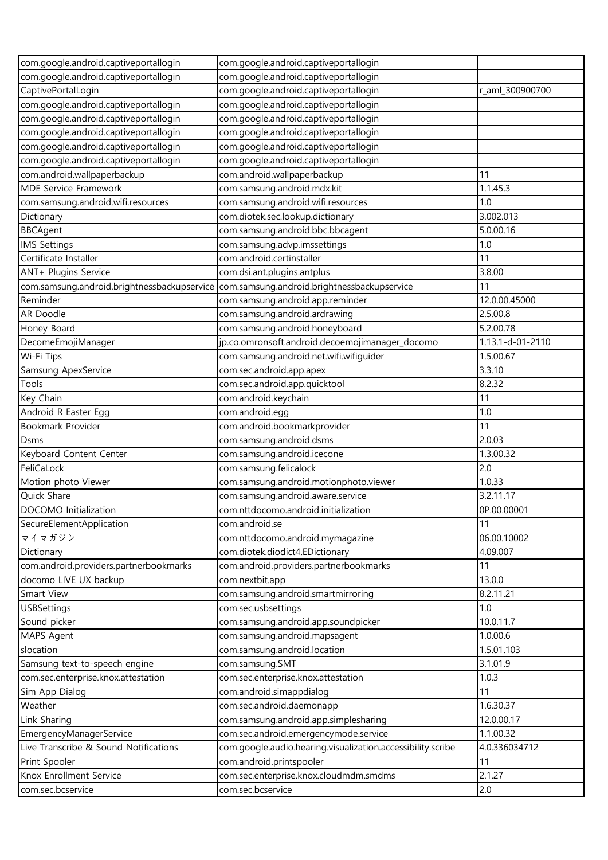| com.google.android.captiveportallogin       | com.google.android.captiveportallogin                       |                  |
|---------------------------------------------|-------------------------------------------------------------|------------------|
| com.google.android.captiveportallogin       | com.google.android.captiveportallogin                       |                  |
| CaptivePortalLogin                          | com.google.android.captiveportallogin                       | r_aml_300900700  |
| com.google.android.captiveportallogin       | com.google.android.captiveportallogin                       |                  |
| com.google.android.captiveportallogin       | com.google.android.captiveportallogin                       |                  |
| com.google.android.captiveportallogin       | com.google.android.captiveportallogin                       |                  |
| com.google.android.captiveportallogin       | com.google.android.captiveportallogin                       |                  |
| com.google.android.captiveportallogin       | com.google.android.captiveportallogin                       |                  |
| com.android.wallpaperbackup                 | com.android.wallpaperbackup                                 | 11               |
| <b>MDE Service Framework</b>                | com.samsung.android.mdx.kit                                 | 1.1.45.3         |
| com.samsung.android.wifi.resources          | com.samsung.android.wifi.resources                          | 1.0              |
| Dictionary                                  | com.diotek.sec.lookup.dictionary                            | 3.002.013        |
| <b>BBCAgent</b>                             | com.samsung.android.bbc.bbcagent                            | 5.0.00.16        |
| <b>IMS Settings</b>                         | com.samsung.advp.imssettings                                | 1.0              |
| Certificate Installer                       | com.android.certinstaller                                   | 11               |
| ANT+ Plugins Service                        | com.dsi.ant.plugins.antplus                                 | 3.8.00           |
| com.samsung.android.brightnessbackupservice | com.samsung.android.brightnessbackupservice                 | 11               |
| Reminder                                    | com.samsung.android.app.reminder                            | 12.0.00.45000    |
| AR Doodle                                   | com.samsung.android.ardrawing                               | 2.5.00.8         |
| Honey Board                                 | com.samsung.android.honeyboard                              | 5.2.00.78        |
| DecomeEmojiManager                          | jp.co.omronsoft.android.decoemojimanager_docomo             | 1.13.1-d-01-2110 |
| Wi-Fi Tips                                  | com.samsung.android.net.wifi.wifiguider                     | 1.5.00.67        |
| Samsung ApexService                         | com.sec.android.app.apex                                    | 3.3.10           |
| Tools                                       | com.sec.android.app.quicktool                               | 8.2.32           |
|                                             |                                                             | 11               |
| Key Chain                                   | com.android.keychain                                        |                  |
| Android R Easter Egg                        | com.android.egg                                             | 1.0<br>11        |
| Bookmark Provider                           | com.android.bookmarkprovider                                |                  |
| Dsms                                        | com.samsung.android.dsms                                    | 2.0.03           |
| Keyboard Content Center                     | com.samsung.android.icecone                                 | 1.3.00.32        |
| FeliCaLock                                  | com.samsung.felicalock                                      | 2.0              |
| Motion photo Viewer                         | com.samsung.android.motionphoto.viewer                      | 1.0.33           |
| Quick Share                                 | com.samsung.android.aware.service                           | 3.2.11.17        |
| DOCOMO Initialization                       | com.nttdocomo.android.initialization                        | 0P.00.00001      |
| SecureElementApplication                    | com.android.se                                              | 11               |
| マイマガジン                                      | com.nttdocomo.android.mymagazine                            | 06.00.10002      |
| Dictionary                                  | com.diotek.diodict4.EDictionary                             | 4.09.007         |
| com.android.providers.partnerbookmarks      | com.android.providers.partnerbookmarks                      | 11               |
| docomo LIVE UX backup                       | com.nextbit.app                                             | 13.0.0           |
| Smart View                                  | com.samsung.android.smartmirroring                          | 8.2.11.21        |
| <b>USBSettings</b>                          | com.sec.usbsettings                                         | 1.0              |
| Sound picker                                | com.samsung.android.app.soundpicker                         | 10.0.11.7        |
| MAPS Agent                                  | com.samsung.android.mapsagent                               | 1.0.00.6         |
| slocation                                   | com.samsung.android.location                                | 1.5.01.103       |
| Samsung text-to-speech engine               | com.samsung.SMT                                             | 3.1.01.9         |
| com.sec.enterprise.knox.attestation         | com.sec.enterprise.knox.attestation                         | 1.0.3            |
| Sim App Dialog                              | com.android.simappdialog                                    | 11               |
| Weather                                     | com.sec.android.daemonapp                                   | 1.6.30.37        |
| Link Sharing                                | com.samsung.android.app.simplesharing                       | 12.0.00.17       |
| EmergencyManagerService                     | com.sec.android.emergencymode.service                       | 1.1.00.32        |
| Live Transcribe & Sound Notifications       | com.google.audio.hearing.visualization.accessibility.scribe | 4.0.336034712    |
| Print Spooler                               | com.android.printspooler                                    | 11               |
| Knox Enrollment Service                     | com.sec.enterprise.knox.cloudmdm.smdms                      | 2.1.27           |
| com.sec.bcservice                           | com.sec.bcservice                                           | 2.0              |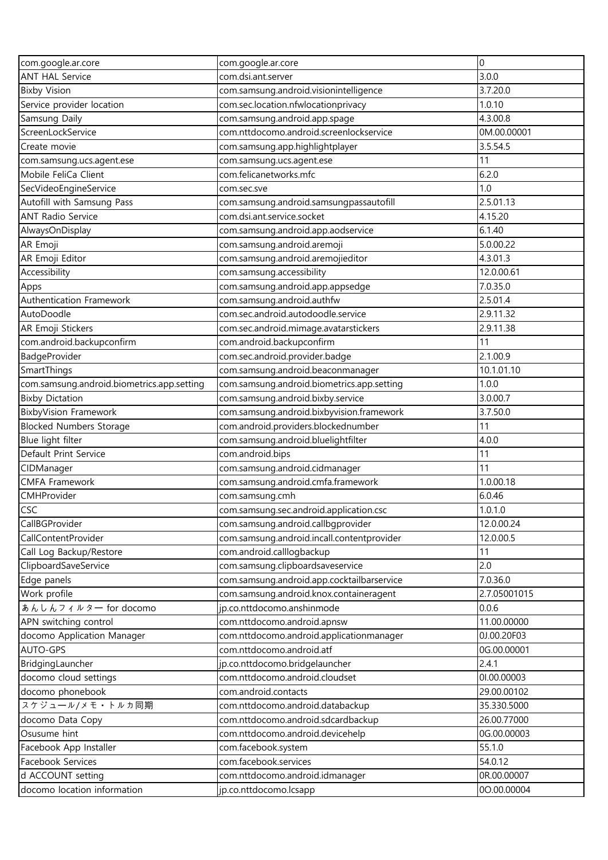| <b>ANT HAL Service</b><br>com.dsi.ant.server<br>3.0.0<br>3.7.20.0<br><b>Bixby Vision</b><br>com.samsung.android.visionintelligence<br>Service provider location<br>com.sec.location.nfwlocationprivacy<br>1.0.10<br>Samsung Daily<br>com.samsung.android.app.spage<br>4.3.00.8<br>com.nttdocomo.android.screenlockservice<br>ScreenLockService<br>0M.00.00001<br>3.5.54.5<br>Create movie<br>com.samsung.app.highlightplayer<br>com.samsung.ucs.agent.ese<br>11<br>com.samsung.ucs.agent.ese<br>Mobile FeliCa Client<br>com.felicanetworks.mfc<br>6.2.0<br>1.0<br>SecVideoEngineService<br>com.sec.sve<br>Autofill with Samsung Pass<br>2.5.01.13<br>com.samsung.android.samsungpassautofill<br><b>ANT Radio Service</b><br>com.dsi.ant.service.socket<br>4.15.20<br>com.samsung.android.app.aodservice<br>6.1.40<br>AlwaysOnDisplay<br>AR Emoji<br>com.samsung.android.aremoji<br>5.0.00.22<br>AR Emoji Editor<br>com.samsung.android.aremojieditor<br>4.3.01.3<br>Accessibility<br>12.0.00.61<br>com.samsung.accessibility<br>com.samsung.android.app.appsedge<br>7.0.35.0<br>Apps<br>Authentication Framework<br>com.samsung.android.authfw<br>2.5.01.4<br>com.sec.android.autodoodle.service<br>AutoDoodle<br>2.9.11.32<br>AR Emoji Stickers<br>com.sec.android.mimage.avatarstickers<br>2.9.11.38<br>com.android.backupconfirm<br>11<br>com.android.backupconfirm<br>BadgeProvider<br>com.sec.android.provider.badge<br>2.1.00.9<br>SmartThings<br>10.1.01.10<br>com.samsung.android.beaconmanager<br>com.samsung.android.biometrics.app.setting<br>1.0.0<br>com.samsung.android.biometrics.app.setting<br><b>Bixby Dictation</b><br>com.samsung.android.bixby.service<br>3.0.00.7<br>com.samsung.android.bixbyvision.framework<br><b>BixbyVision Framework</b><br>3.7.50.0<br><b>Blocked Numbers Storage</b><br>com.android.providers.blockednumber<br>11<br>Blue light filter<br>com.samsung.android.bluelightfilter<br>4.0.0<br>11<br>Default Print Service<br>com.android.bips<br>11<br>com.samsung.android.cidmanager<br>CIDManager<br><b>CMFA Framework</b><br>com.samsung.android.cmfa.framework<br>1.0.00.18<br>CMHProvider<br>6.0.46<br>com.samsung.cmh<br><b>CSC</b><br>1.0.1.0<br>com.samsung.sec.android.application.csc<br>CallBGProvider<br>com.samsung.android.callbgprovider<br>12.0.00.24<br>CallContentProvider<br>com.samsung.android.incall.contentprovider<br>12.0.00.5<br>com.android.calllogbackup<br>11<br>Call Log Backup/Restore<br>2.0<br>ClipboardSaveService<br>com.samsung.clipboardsaveservice<br>com.samsung.android.app.cocktailbarservice<br>7.0.36.0<br>Edge panels<br>Work profile<br>com.samsung.android.knox.containeragent<br>2.7.05001015<br>jp.co.nttdocomo.anshinmode<br>あんしんフィルター for docomo<br>0.0.6<br>11.00.00000<br>APN switching control<br>com.nttdocomo.android.apnsw<br>0J.00.20F03<br>docomo Application Manager<br>com.nttdocomo.android.applicationmanager<br>AUTO-GPS<br>com.nttdocomo.android.atf<br>0G.00.00001<br>2.4.1<br>BridgingLauncher<br>jp.co.nttdocomo.bridgelauncher<br>docomo cloud settings<br>com.nttdocomo.android.cloudset<br>01.00.00003<br>docomo phonebook<br>29.00.00102<br>com.android.contacts<br>スケジュール/メモ・トルカ同期<br>35.330.5000<br>com.nttdocomo.android.databackup<br>26.00.77000<br>docomo Data Copy<br>com.nttdocomo.android.sdcardbackup<br>com.nttdocomo.android.devicehelp<br>0G.00.00003<br>Osusume hint<br>Facebook App Installer<br>com.facebook.system<br>55.1.0<br>com.facebook.services<br>Facebook Services<br>54.0.12<br>com.nttdocomo.android.idmanager<br>0R.00.00007<br>d ACCOUNT setting<br>docomo location information<br>jp.co.nttdocomo.lcsapp<br>00.00.00004 | com.google.ar.core | com.google.ar.core | 0 |
|------------------------------------------------------------------------------------------------------------------------------------------------------------------------------------------------------------------------------------------------------------------------------------------------------------------------------------------------------------------------------------------------------------------------------------------------------------------------------------------------------------------------------------------------------------------------------------------------------------------------------------------------------------------------------------------------------------------------------------------------------------------------------------------------------------------------------------------------------------------------------------------------------------------------------------------------------------------------------------------------------------------------------------------------------------------------------------------------------------------------------------------------------------------------------------------------------------------------------------------------------------------------------------------------------------------------------------------------------------------------------------------------------------------------------------------------------------------------------------------------------------------------------------------------------------------------------------------------------------------------------------------------------------------------------------------------------------------------------------------------------------------------------------------------------------------------------------------------------------------------------------------------------------------------------------------------------------------------------------------------------------------------------------------------------------------------------------------------------------------------------------------------------------------------------------------------------------------------------------------------------------------------------------------------------------------------------------------------------------------------------------------------------------------------------------------------------------------------------------------------------------------------------------------------------------------------------------------------------------------------------------------------------------------------------------------------------------------------------------------------------------------------------------------------------------------------------------------------------------------------------------------------------------------------------------------------------------------------------------------------------------------------------------------------------------------------------------------------------------------------------------------------------------------------------------------------------------------------------------------------------------------------------------------------------------------------------------------------------------------------------------------------------------------------------------------------------------------------------------------------------------------------------------------------------------------------------------------------------------------------------------------------------------------------|--------------------|--------------------|---|
|                                                                                                                                                                                                                                                                                                                                                                                                                                                                                                                                                                                                                                                                                                                                                                                                                                                                                                                                                                                                                                                                                                                                                                                                                                                                                                                                                                                                                                                                                                                                                                                                                                                                                                                                                                                                                                                                                                                                                                                                                                                                                                                                                                                                                                                                                                                                                                                                                                                                                                                                                                                                                                                                                                                                                                                                                                                                                                                                                                                                                                                                                                                                                                                                                                                                                                                                                                                                                                                                                                                                                                                                                                                                        |                    |                    |   |
|                                                                                                                                                                                                                                                                                                                                                                                                                                                                                                                                                                                                                                                                                                                                                                                                                                                                                                                                                                                                                                                                                                                                                                                                                                                                                                                                                                                                                                                                                                                                                                                                                                                                                                                                                                                                                                                                                                                                                                                                                                                                                                                                                                                                                                                                                                                                                                                                                                                                                                                                                                                                                                                                                                                                                                                                                                                                                                                                                                                                                                                                                                                                                                                                                                                                                                                                                                                                                                                                                                                                                                                                                                                                        |                    |                    |   |
|                                                                                                                                                                                                                                                                                                                                                                                                                                                                                                                                                                                                                                                                                                                                                                                                                                                                                                                                                                                                                                                                                                                                                                                                                                                                                                                                                                                                                                                                                                                                                                                                                                                                                                                                                                                                                                                                                                                                                                                                                                                                                                                                                                                                                                                                                                                                                                                                                                                                                                                                                                                                                                                                                                                                                                                                                                                                                                                                                                                                                                                                                                                                                                                                                                                                                                                                                                                                                                                                                                                                                                                                                                                                        |                    |                    |   |
|                                                                                                                                                                                                                                                                                                                                                                                                                                                                                                                                                                                                                                                                                                                                                                                                                                                                                                                                                                                                                                                                                                                                                                                                                                                                                                                                                                                                                                                                                                                                                                                                                                                                                                                                                                                                                                                                                                                                                                                                                                                                                                                                                                                                                                                                                                                                                                                                                                                                                                                                                                                                                                                                                                                                                                                                                                                                                                                                                                                                                                                                                                                                                                                                                                                                                                                                                                                                                                                                                                                                                                                                                                                                        |                    |                    |   |
|                                                                                                                                                                                                                                                                                                                                                                                                                                                                                                                                                                                                                                                                                                                                                                                                                                                                                                                                                                                                                                                                                                                                                                                                                                                                                                                                                                                                                                                                                                                                                                                                                                                                                                                                                                                                                                                                                                                                                                                                                                                                                                                                                                                                                                                                                                                                                                                                                                                                                                                                                                                                                                                                                                                                                                                                                                                                                                                                                                                                                                                                                                                                                                                                                                                                                                                                                                                                                                                                                                                                                                                                                                                                        |                    |                    |   |
|                                                                                                                                                                                                                                                                                                                                                                                                                                                                                                                                                                                                                                                                                                                                                                                                                                                                                                                                                                                                                                                                                                                                                                                                                                                                                                                                                                                                                                                                                                                                                                                                                                                                                                                                                                                                                                                                                                                                                                                                                                                                                                                                                                                                                                                                                                                                                                                                                                                                                                                                                                                                                                                                                                                                                                                                                                                                                                                                                                                                                                                                                                                                                                                                                                                                                                                                                                                                                                                                                                                                                                                                                                                                        |                    |                    |   |
|                                                                                                                                                                                                                                                                                                                                                                                                                                                                                                                                                                                                                                                                                                                                                                                                                                                                                                                                                                                                                                                                                                                                                                                                                                                                                                                                                                                                                                                                                                                                                                                                                                                                                                                                                                                                                                                                                                                                                                                                                                                                                                                                                                                                                                                                                                                                                                                                                                                                                                                                                                                                                                                                                                                                                                                                                                                                                                                                                                                                                                                                                                                                                                                                                                                                                                                                                                                                                                                                                                                                                                                                                                                                        |                    |                    |   |
|                                                                                                                                                                                                                                                                                                                                                                                                                                                                                                                                                                                                                                                                                                                                                                                                                                                                                                                                                                                                                                                                                                                                                                                                                                                                                                                                                                                                                                                                                                                                                                                                                                                                                                                                                                                                                                                                                                                                                                                                                                                                                                                                                                                                                                                                                                                                                                                                                                                                                                                                                                                                                                                                                                                                                                                                                                                                                                                                                                                                                                                                                                                                                                                                                                                                                                                                                                                                                                                                                                                                                                                                                                                                        |                    |                    |   |
|                                                                                                                                                                                                                                                                                                                                                                                                                                                                                                                                                                                                                                                                                                                                                                                                                                                                                                                                                                                                                                                                                                                                                                                                                                                                                                                                                                                                                                                                                                                                                                                                                                                                                                                                                                                                                                                                                                                                                                                                                                                                                                                                                                                                                                                                                                                                                                                                                                                                                                                                                                                                                                                                                                                                                                                                                                                                                                                                                                                                                                                                                                                                                                                                                                                                                                                                                                                                                                                                                                                                                                                                                                                                        |                    |                    |   |
|                                                                                                                                                                                                                                                                                                                                                                                                                                                                                                                                                                                                                                                                                                                                                                                                                                                                                                                                                                                                                                                                                                                                                                                                                                                                                                                                                                                                                                                                                                                                                                                                                                                                                                                                                                                                                                                                                                                                                                                                                                                                                                                                                                                                                                                                                                                                                                                                                                                                                                                                                                                                                                                                                                                                                                                                                                                                                                                                                                                                                                                                                                                                                                                                                                                                                                                                                                                                                                                                                                                                                                                                                                                                        |                    |                    |   |
|                                                                                                                                                                                                                                                                                                                                                                                                                                                                                                                                                                                                                                                                                                                                                                                                                                                                                                                                                                                                                                                                                                                                                                                                                                                                                                                                                                                                                                                                                                                                                                                                                                                                                                                                                                                                                                                                                                                                                                                                                                                                                                                                                                                                                                                                                                                                                                                                                                                                                                                                                                                                                                                                                                                                                                                                                                                                                                                                                                                                                                                                                                                                                                                                                                                                                                                                                                                                                                                                                                                                                                                                                                                                        |                    |                    |   |
|                                                                                                                                                                                                                                                                                                                                                                                                                                                                                                                                                                                                                                                                                                                                                                                                                                                                                                                                                                                                                                                                                                                                                                                                                                                                                                                                                                                                                                                                                                                                                                                                                                                                                                                                                                                                                                                                                                                                                                                                                                                                                                                                                                                                                                                                                                                                                                                                                                                                                                                                                                                                                                                                                                                                                                                                                                                                                                                                                                                                                                                                                                                                                                                                                                                                                                                                                                                                                                                                                                                                                                                                                                                                        |                    |                    |   |
|                                                                                                                                                                                                                                                                                                                                                                                                                                                                                                                                                                                                                                                                                                                                                                                                                                                                                                                                                                                                                                                                                                                                                                                                                                                                                                                                                                                                                                                                                                                                                                                                                                                                                                                                                                                                                                                                                                                                                                                                                                                                                                                                                                                                                                                                                                                                                                                                                                                                                                                                                                                                                                                                                                                                                                                                                                                                                                                                                                                                                                                                                                                                                                                                                                                                                                                                                                                                                                                                                                                                                                                                                                                                        |                    |                    |   |
|                                                                                                                                                                                                                                                                                                                                                                                                                                                                                                                                                                                                                                                                                                                                                                                                                                                                                                                                                                                                                                                                                                                                                                                                                                                                                                                                                                                                                                                                                                                                                                                                                                                                                                                                                                                                                                                                                                                                                                                                                                                                                                                                                                                                                                                                                                                                                                                                                                                                                                                                                                                                                                                                                                                                                                                                                                                                                                                                                                                                                                                                                                                                                                                                                                                                                                                                                                                                                                                                                                                                                                                                                                                                        |                    |                    |   |
|                                                                                                                                                                                                                                                                                                                                                                                                                                                                                                                                                                                                                                                                                                                                                                                                                                                                                                                                                                                                                                                                                                                                                                                                                                                                                                                                                                                                                                                                                                                                                                                                                                                                                                                                                                                                                                                                                                                                                                                                                                                                                                                                                                                                                                                                                                                                                                                                                                                                                                                                                                                                                                                                                                                                                                                                                                                                                                                                                                                                                                                                                                                                                                                                                                                                                                                                                                                                                                                                                                                                                                                                                                                                        |                    |                    |   |
|                                                                                                                                                                                                                                                                                                                                                                                                                                                                                                                                                                                                                                                                                                                                                                                                                                                                                                                                                                                                                                                                                                                                                                                                                                                                                                                                                                                                                                                                                                                                                                                                                                                                                                                                                                                                                                                                                                                                                                                                                                                                                                                                                                                                                                                                                                                                                                                                                                                                                                                                                                                                                                                                                                                                                                                                                                                                                                                                                                                                                                                                                                                                                                                                                                                                                                                                                                                                                                                                                                                                                                                                                                                                        |                    |                    |   |
|                                                                                                                                                                                                                                                                                                                                                                                                                                                                                                                                                                                                                                                                                                                                                                                                                                                                                                                                                                                                                                                                                                                                                                                                                                                                                                                                                                                                                                                                                                                                                                                                                                                                                                                                                                                                                                                                                                                                                                                                                                                                                                                                                                                                                                                                                                                                                                                                                                                                                                                                                                                                                                                                                                                                                                                                                                                                                                                                                                                                                                                                                                                                                                                                                                                                                                                                                                                                                                                                                                                                                                                                                                                                        |                    |                    |   |
|                                                                                                                                                                                                                                                                                                                                                                                                                                                                                                                                                                                                                                                                                                                                                                                                                                                                                                                                                                                                                                                                                                                                                                                                                                                                                                                                                                                                                                                                                                                                                                                                                                                                                                                                                                                                                                                                                                                                                                                                                                                                                                                                                                                                                                                                                                                                                                                                                                                                                                                                                                                                                                                                                                                                                                                                                                                                                                                                                                                                                                                                                                                                                                                                                                                                                                                                                                                                                                                                                                                                                                                                                                                                        |                    |                    |   |
|                                                                                                                                                                                                                                                                                                                                                                                                                                                                                                                                                                                                                                                                                                                                                                                                                                                                                                                                                                                                                                                                                                                                                                                                                                                                                                                                                                                                                                                                                                                                                                                                                                                                                                                                                                                                                                                                                                                                                                                                                                                                                                                                                                                                                                                                                                                                                                                                                                                                                                                                                                                                                                                                                                                                                                                                                                                                                                                                                                                                                                                                                                                                                                                                                                                                                                                                                                                                                                                                                                                                                                                                                                                                        |                    |                    |   |
|                                                                                                                                                                                                                                                                                                                                                                                                                                                                                                                                                                                                                                                                                                                                                                                                                                                                                                                                                                                                                                                                                                                                                                                                                                                                                                                                                                                                                                                                                                                                                                                                                                                                                                                                                                                                                                                                                                                                                                                                                                                                                                                                                                                                                                                                                                                                                                                                                                                                                                                                                                                                                                                                                                                                                                                                                                                                                                                                                                                                                                                                                                                                                                                                                                                                                                                                                                                                                                                                                                                                                                                                                                                                        |                    |                    |   |
|                                                                                                                                                                                                                                                                                                                                                                                                                                                                                                                                                                                                                                                                                                                                                                                                                                                                                                                                                                                                                                                                                                                                                                                                                                                                                                                                                                                                                                                                                                                                                                                                                                                                                                                                                                                                                                                                                                                                                                                                                                                                                                                                                                                                                                                                                                                                                                                                                                                                                                                                                                                                                                                                                                                                                                                                                                                                                                                                                                                                                                                                                                                                                                                                                                                                                                                                                                                                                                                                                                                                                                                                                                                                        |                    |                    |   |
|                                                                                                                                                                                                                                                                                                                                                                                                                                                                                                                                                                                                                                                                                                                                                                                                                                                                                                                                                                                                                                                                                                                                                                                                                                                                                                                                                                                                                                                                                                                                                                                                                                                                                                                                                                                                                                                                                                                                                                                                                                                                                                                                                                                                                                                                                                                                                                                                                                                                                                                                                                                                                                                                                                                                                                                                                                                                                                                                                                                                                                                                                                                                                                                                                                                                                                                                                                                                                                                                                                                                                                                                                                                                        |                    |                    |   |
|                                                                                                                                                                                                                                                                                                                                                                                                                                                                                                                                                                                                                                                                                                                                                                                                                                                                                                                                                                                                                                                                                                                                                                                                                                                                                                                                                                                                                                                                                                                                                                                                                                                                                                                                                                                                                                                                                                                                                                                                                                                                                                                                                                                                                                                                                                                                                                                                                                                                                                                                                                                                                                                                                                                                                                                                                                                                                                                                                                                                                                                                                                                                                                                                                                                                                                                                                                                                                                                                                                                                                                                                                                                                        |                    |                    |   |
|                                                                                                                                                                                                                                                                                                                                                                                                                                                                                                                                                                                                                                                                                                                                                                                                                                                                                                                                                                                                                                                                                                                                                                                                                                                                                                                                                                                                                                                                                                                                                                                                                                                                                                                                                                                                                                                                                                                                                                                                                                                                                                                                                                                                                                                                                                                                                                                                                                                                                                                                                                                                                                                                                                                                                                                                                                                                                                                                                                                                                                                                                                                                                                                                                                                                                                                                                                                                                                                                                                                                                                                                                                                                        |                    |                    |   |
|                                                                                                                                                                                                                                                                                                                                                                                                                                                                                                                                                                                                                                                                                                                                                                                                                                                                                                                                                                                                                                                                                                                                                                                                                                                                                                                                                                                                                                                                                                                                                                                                                                                                                                                                                                                                                                                                                                                                                                                                                                                                                                                                                                                                                                                                                                                                                                                                                                                                                                                                                                                                                                                                                                                                                                                                                                                                                                                                                                                                                                                                                                                                                                                                                                                                                                                                                                                                                                                                                                                                                                                                                                                                        |                    |                    |   |
|                                                                                                                                                                                                                                                                                                                                                                                                                                                                                                                                                                                                                                                                                                                                                                                                                                                                                                                                                                                                                                                                                                                                                                                                                                                                                                                                                                                                                                                                                                                                                                                                                                                                                                                                                                                                                                                                                                                                                                                                                                                                                                                                                                                                                                                                                                                                                                                                                                                                                                                                                                                                                                                                                                                                                                                                                                                                                                                                                                                                                                                                                                                                                                                                                                                                                                                                                                                                                                                                                                                                                                                                                                                                        |                    |                    |   |
|                                                                                                                                                                                                                                                                                                                                                                                                                                                                                                                                                                                                                                                                                                                                                                                                                                                                                                                                                                                                                                                                                                                                                                                                                                                                                                                                                                                                                                                                                                                                                                                                                                                                                                                                                                                                                                                                                                                                                                                                                                                                                                                                                                                                                                                                                                                                                                                                                                                                                                                                                                                                                                                                                                                                                                                                                                                                                                                                                                                                                                                                                                                                                                                                                                                                                                                                                                                                                                                                                                                                                                                                                                                                        |                    |                    |   |
|                                                                                                                                                                                                                                                                                                                                                                                                                                                                                                                                                                                                                                                                                                                                                                                                                                                                                                                                                                                                                                                                                                                                                                                                                                                                                                                                                                                                                                                                                                                                                                                                                                                                                                                                                                                                                                                                                                                                                                                                                                                                                                                                                                                                                                                                                                                                                                                                                                                                                                                                                                                                                                                                                                                                                                                                                                                                                                                                                                                                                                                                                                                                                                                                                                                                                                                                                                                                                                                                                                                                                                                                                                                                        |                    |                    |   |
|                                                                                                                                                                                                                                                                                                                                                                                                                                                                                                                                                                                                                                                                                                                                                                                                                                                                                                                                                                                                                                                                                                                                                                                                                                                                                                                                                                                                                                                                                                                                                                                                                                                                                                                                                                                                                                                                                                                                                                                                                                                                                                                                                                                                                                                                                                                                                                                                                                                                                                                                                                                                                                                                                                                                                                                                                                                                                                                                                                                                                                                                                                                                                                                                                                                                                                                                                                                                                                                                                                                                                                                                                                                                        |                    |                    |   |
|                                                                                                                                                                                                                                                                                                                                                                                                                                                                                                                                                                                                                                                                                                                                                                                                                                                                                                                                                                                                                                                                                                                                                                                                                                                                                                                                                                                                                                                                                                                                                                                                                                                                                                                                                                                                                                                                                                                                                                                                                                                                                                                                                                                                                                                                                                                                                                                                                                                                                                                                                                                                                                                                                                                                                                                                                                                                                                                                                                                                                                                                                                                                                                                                                                                                                                                                                                                                                                                                                                                                                                                                                                                                        |                    |                    |   |
|                                                                                                                                                                                                                                                                                                                                                                                                                                                                                                                                                                                                                                                                                                                                                                                                                                                                                                                                                                                                                                                                                                                                                                                                                                                                                                                                                                                                                                                                                                                                                                                                                                                                                                                                                                                                                                                                                                                                                                                                                                                                                                                                                                                                                                                                                                                                                                                                                                                                                                                                                                                                                                                                                                                                                                                                                                                                                                                                                                                                                                                                                                                                                                                                                                                                                                                                                                                                                                                                                                                                                                                                                                                                        |                    |                    |   |
|                                                                                                                                                                                                                                                                                                                                                                                                                                                                                                                                                                                                                                                                                                                                                                                                                                                                                                                                                                                                                                                                                                                                                                                                                                                                                                                                                                                                                                                                                                                                                                                                                                                                                                                                                                                                                                                                                                                                                                                                                                                                                                                                                                                                                                                                                                                                                                                                                                                                                                                                                                                                                                                                                                                                                                                                                                                                                                                                                                                                                                                                                                                                                                                                                                                                                                                                                                                                                                                                                                                                                                                                                                                                        |                    |                    |   |
|                                                                                                                                                                                                                                                                                                                                                                                                                                                                                                                                                                                                                                                                                                                                                                                                                                                                                                                                                                                                                                                                                                                                                                                                                                                                                                                                                                                                                                                                                                                                                                                                                                                                                                                                                                                                                                                                                                                                                                                                                                                                                                                                                                                                                                                                                                                                                                                                                                                                                                                                                                                                                                                                                                                                                                                                                                                                                                                                                                                                                                                                                                                                                                                                                                                                                                                                                                                                                                                                                                                                                                                                                                                                        |                    |                    |   |
|                                                                                                                                                                                                                                                                                                                                                                                                                                                                                                                                                                                                                                                                                                                                                                                                                                                                                                                                                                                                                                                                                                                                                                                                                                                                                                                                                                                                                                                                                                                                                                                                                                                                                                                                                                                                                                                                                                                                                                                                                                                                                                                                                                                                                                                                                                                                                                                                                                                                                                                                                                                                                                                                                                                                                                                                                                                                                                                                                                                                                                                                                                                                                                                                                                                                                                                                                                                                                                                                                                                                                                                                                                                                        |                    |                    |   |
|                                                                                                                                                                                                                                                                                                                                                                                                                                                                                                                                                                                                                                                                                                                                                                                                                                                                                                                                                                                                                                                                                                                                                                                                                                                                                                                                                                                                                                                                                                                                                                                                                                                                                                                                                                                                                                                                                                                                                                                                                                                                                                                                                                                                                                                                                                                                                                                                                                                                                                                                                                                                                                                                                                                                                                                                                                                                                                                                                                                                                                                                                                                                                                                                                                                                                                                                                                                                                                                                                                                                                                                                                                                                        |                    |                    |   |
|                                                                                                                                                                                                                                                                                                                                                                                                                                                                                                                                                                                                                                                                                                                                                                                                                                                                                                                                                                                                                                                                                                                                                                                                                                                                                                                                                                                                                                                                                                                                                                                                                                                                                                                                                                                                                                                                                                                                                                                                                                                                                                                                                                                                                                                                                                                                                                                                                                                                                                                                                                                                                                                                                                                                                                                                                                                                                                                                                                                                                                                                                                                                                                                                                                                                                                                                                                                                                                                                                                                                                                                                                                                                        |                    |                    |   |
|                                                                                                                                                                                                                                                                                                                                                                                                                                                                                                                                                                                                                                                                                                                                                                                                                                                                                                                                                                                                                                                                                                                                                                                                                                                                                                                                                                                                                                                                                                                                                                                                                                                                                                                                                                                                                                                                                                                                                                                                                                                                                                                                                                                                                                                                                                                                                                                                                                                                                                                                                                                                                                                                                                                                                                                                                                                                                                                                                                                                                                                                                                                                                                                                                                                                                                                                                                                                                                                                                                                                                                                                                                                                        |                    |                    |   |
|                                                                                                                                                                                                                                                                                                                                                                                                                                                                                                                                                                                                                                                                                                                                                                                                                                                                                                                                                                                                                                                                                                                                                                                                                                                                                                                                                                                                                                                                                                                                                                                                                                                                                                                                                                                                                                                                                                                                                                                                                                                                                                                                                                                                                                                                                                                                                                                                                                                                                                                                                                                                                                                                                                                                                                                                                                                                                                                                                                                                                                                                                                                                                                                                                                                                                                                                                                                                                                                                                                                                                                                                                                                                        |                    |                    |   |
|                                                                                                                                                                                                                                                                                                                                                                                                                                                                                                                                                                                                                                                                                                                                                                                                                                                                                                                                                                                                                                                                                                                                                                                                                                                                                                                                                                                                                                                                                                                                                                                                                                                                                                                                                                                                                                                                                                                                                                                                                                                                                                                                                                                                                                                                                                                                                                                                                                                                                                                                                                                                                                                                                                                                                                                                                                                                                                                                                                                                                                                                                                                                                                                                                                                                                                                                                                                                                                                                                                                                                                                                                                                                        |                    |                    |   |
|                                                                                                                                                                                                                                                                                                                                                                                                                                                                                                                                                                                                                                                                                                                                                                                                                                                                                                                                                                                                                                                                                                                                                                                                                                                                                                                                                                                                                                                                                                                                                                                                                                                                                                                                                                                                                                                                                                                                                                                                                                                                                                                                                                                                                                                                                                                                                                                                                                                                                                                                                                                                                                                                                                                                                                                                                                                                                                                                                                                                                                                                                                                                                                                                                                                                                                                                                                                                                                                                                                                                                                                                                                                                        |                    |                    |   |
|                                                                                                                                                                                                                                                                                                                                                                                                                                                                                                                                                                                                                                                                                                                                                                                                                                                                                                                                                                                                                                                                                                                                                                                                                                                                                                                                                                                                                                                                                                                                                                                                                                                                                                                                                                                                                                                                                                                                                                                                                                                                                                                                                                                                                                                                                                                                                                                                                                                                                                                                                                                                                                                                                                                                                                                                                                                                                                                                                                                                                                                                                                                                                                                                                                                                                                                                                                                                                                                                                                                                                                                                                                                                        |                    |                    |   |
|                                                                                                                                                                                                                                                                                                                                                                                                                                                                                                                                                                                                                                                                                                                                                                                                                                                                                                                                                                                                                                                                                                                                                                                                                                                                                                                                                                                                                                                                                                                                                                                                                                                                                                                                                                                                                                                                                                                                                                                                                                                                                                                                                                                                                                                                                                                                                                                                                                                                                                                                                                                                                                                                                                                                                                                                                                                                                                                                                                                                                                                                                                                                                                                                                                                                                                                                                                                                                                                                                                                                                                                                                                                                        |                    |                    |   |
|                                                                                                                                                                                                                                                                                                                                                                                                                                                                                                                                                                                                                                                                                                                                                                                                                                                                                                                                                                                                                                                                                                                                                                                                                                                                                                                                                                                                                                                                                                                                                                                                                                                                                                                                                                                                                                                                                                                                                                                                                                                                                                                                                                                                                                                                                                                                                                                                                                                                                                                                                                                                                                                                                                                                                                                                                                                                                                                                                                                                                                                                                                                                                                                                                                                                                                                                                                                                                                                                                                                                                                                                                                                                        |                    |                    |   |
|                                                                                                                                                                                                                                                                                                                                                                                                                                                                                                                                                                                                                                                                                                                                                                                                                                                                                                                                                                                                                                                                                                                                                                                                                                                                                                                                                                                                                                                                                                                                                                                                                                                                                                                                                                                                                                                                                                                                                                                                                                                                                                                                                                                                                                                                                                                                                                                                                                                                                                                                                                                                                                                                                                                                                                                                                                                                                                                                                                                                                                                                                                                                                                                                                                                                                                                                                                                                                                                                                                                                                                                                                                                                        |                    |                    |   |
|                                                                                                                                                                                                                                                                                                                                                                                                                                                                                                                                                                                                                                                                                                                                                                                                                                                                                                                                                                                                                                                                                                                                                                                                                                                                                                                                                                                                                                                                                                                                                                                                                                                                                                                                                                                                                                                                                                                                                                                                                                                                                                                                                                                                                                                                                                                                                                                                                                                                                                                                                                                                                                                                                                                                                                                                                                                                                                                                                                                                                                                                                                                                                                                                                                                                                                                                                                                                                                                                                                                                                                                                                                                                        |                    |                    |   |
|                                                                                                                                                                                                                                                                                                                                                                                                                                                                                                                                                                                                                                                                                                                                                                                                                                                                                                                                                                                                                                                                                                                                                                                                                                                                                                                                                                                                                                                                                                                                                                                                                                                                                                                                                                                                                                                                                                                                                                                                                                                                                                                                                                                                                                                                                                                                                                                                                                                                                                                                                                                                                                                                                                                                                                                                                                                                                                                                                                                                                                                                                                                                                                                                                                                                                                                                                                                                                                                                                                                                                                                                                                                                        |                    |                    |   |
|                                                                                                                                                                                                                                                                                                                                                                                                                                                                                                                                                                                                                                                                                                                                                                                                                                                                                                                                                                                                                                                                                                                                                                                                                                                                                                                                                                                                                                                                                                                                                                                                                                                                                                                                                                                                                                                                                                                                                                                                                                                                                                                                                                                                                                                                                                                                                                                                                                                                                                                                                                                                                                                                                                                                                                                                                                                                                                                                                                                                                                                                                                                                                                                                                                                                                                                                                                                                                                                                                                                                                                                                                                                                        |                    |                    |   |
|                                                                                                                                                                                                                                                                                                                                                                                                                                                                                                                                                                                                                                                                                                                                                                                                                                                                                                                                                                                                                                                                                                                                                                                                                                                                                                                                                                                                                                                                                                                                                                                                                                                                                                                                                                                                                                                                                                                                                                                                                                                                                                                                                                                                                                                                                                                                                                                                                                                                                                                                                                                                                                                                                                                                                                                                                                                                                                                                                                                                                                                                                                                                                                                                                                                                                                                                                                                                                                                                                                                                                                                                                                                                        |                    |                    |   |
|                                                                                                                                                                                                                                                                                                                                                                                                                                                                                                                                                                                                                                                                                                                                                                                                                                                                                                                                                                                                                                                                                                                                                                                                                                                                                                                                                                                                                                                                                                                                                                                                                                                                                                                                                                                                                                                                                                                                                                                                                                                                                                                                                                                                                                                                                                                                                                                                                                                                                                                                                                                                                                                                                                                                                                                                                                                                                                                                                                                                                                                                                                                                                                                                                                                                                                                                                                                                                                                                                                                                                                                                                                                                        |                    |                    |   |
|                                                                                                                                                                                                                                                                                                                                                                                                                                                                                                                                                                                                                                                                                                                                                                                                                                                                                                                                                                                                                                                                                                                                                                                                                                                                                                                                                                                                                                                                                                                                                                                                                                                                                                                                                                                                                                                                                                                                                                                                                                                                                                                                                                                                                                                                                                                                                                                                                                                                                                                                                                                                                                                                                                                                                                                                                                                                                                                                                                                                                                                                                                                                                                                                                                                                                                                                                                                                                                                                                                                                                                                                                                                                        |                    |                    |   |
|                                                                                                                                                                                                                                                                                                                                                                                                                                                                                                                                                                                                                                                                                                                                                                                                                                                                                                                                                                                                                                                                                                                                                                                                                                                                                                                                                                                                                                                                                                                                                                                                                                                                                                                                                                                                                                                                                                                                                                                                                                                                                                                                                                                                                                                                                                                                                                                                                                                                                                                                                                                                                                                                                                                                                                                                                                                                                                                                                                                                                                                                                                                                                                                                                                                                                                                                                                                                                                                                                                                                                                                                                                                                        |                    |                    |   |
|                                                                                                                                                                                                                                                                                                                                                                                                                                                                                                                                                                                                                                                                                                                                                                                                                                                                                                                                                                                                                                                                                                                                                                                                                                                                                                                                                                                                                                                                                                                                                                                                                                                                                                                                                                                                                                                                                                                                                                                                                                                                                                                                                                                                                                                                                                                                                                                                                                                                                                                                                                                                                                                                                                                                                                                                                                                                                                                                                                                                                                                                                                                                                                                                                                                                                                                                                                                                                                                                                                                                                                                                                                                                        |                    |                    |   |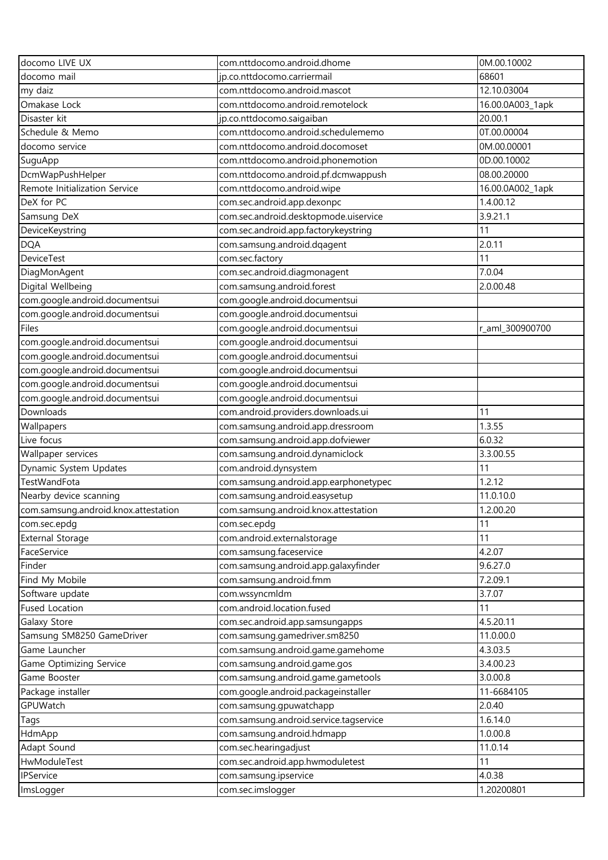| docomo LIVE UX                       | com.nttdocomo.android.dhome            | 0M.00.10002      |
|--------------------------------------|----------------------------------------|------------------|
| docomo mail                          | jp.co.nttdocomo.carriermail            | 68601            |
| my daiz                              | com.nttdocomo.android.mascot           | 12.10.03004      |
| Omakase Lock                         | com.nttdocomo.android.remotelock       | 16.00.0A003_1apk |
| Disaster kit                         | jp.co.nttdocomo.saigaiban              | 20.00.1          |
| Schedule & Memo                      | com.nttdocomo.android.schedulememo     | 0T.00.00004      |
| docomo service                       | com.nttdocomo.android.docomoset        | 0M.00.00001      |
| SuguApp                              | com.nttdocomo.android.phonemotion      | 0D.00.10002      |
| DcmWapPushHelper                     | com.nttdocomo.android.pf.dcmwappush    | 08.00.20000      |
| Remote Initialization Service        | com.nttdocomo.android.wipe             | 16.00.0A002_1apk |
| DeX for PC                           | com.sec.android.app.dexonpc            | 1.4.00.12        |
| Samsung DeX                          | com.sec.android.desktopmode.uiservice  | 3.9.21.1         |
| DeviceKeystring                      | com.sec.android.app.factorykeystring   | 11               |
| <b>DQA</b>                           | com.samsung.android.dqagent            | 2.0.11           |
| <b>DeviceTest</b>                    | com.sec.factory                        | 11               |
| DiagMonAgent                         | com.sec.android.diagmonagent           | 7.0.04           |
| Digital Wellbeing                    | com.samsung.android.forest             | 2.0.00.48        |
| com.google.android.documentsui       | com.google.android.documentsui         |                  |
| com.google.android.documentsui       | com.google.android.documentsui         |                  |
| Files                                | com.google.android.documentsui         | r_aml_300900700  |
| com.google.android.documentsui       | com.google.android.documentsui         |                  |
| com.google.android.documentsui       | com.google.android.documentsui         |                  |
| com.google.android.documentsui       | com.google.android.documentsui         |                  |
| com.google.android.documentsui       | com.google.android.documentsui         |                  |
| com.google.android.documentsui       | com.google.android.documentsui         |                  |
| Downloads                            | com.android.providers.downloads.ui     | 11               |
| Wallpapers                           | com.samsung.android.app.dressroom      | 1.3.55           |
| Live focus                           | com.samsung.android.app.dofviewer      | 6.0.32           |
| Wallpaper services                   | com.samsung.android.dynamiclock        | 3.3.00.55        |
| Dynamic System Updates               | com.android.dynsystem                  | 11               |
| TestWandFota                         | com.samsung.android.app.earphonetypec  | 1.2.12           |
| Nearby device scanning               | com.samsung.android.easysetup          | 11.0.10.0        |
| com.samsung.android.knox.attestation | com.samsung.android.knox.attestation   | 1.2.00.20        |
| com.sec.epdg                         | com.sec.epdg                           | 11               |
| <b>External Storage</b>              | com.android.externalstorage            | 11               |
| FaceService                          | com.samsung.faceservice                | 4.2.07           |
| Finder                               | com.samsung.android.app.galaxyfinder   | 9.6.27.0         |
| Find My Mobile                       | com.samsung.android.fmm                | 7.2.09.1         |
| Software update                      | com.wssyncmldm                         | 3.7.07           |
| <b>Fused Location</b>                | com.android.location.fused             | 11               |
| Galaxy Store                         | com.sec.android.app.samsungapps        | 4.5.20.11        |
| Samsung SM8250 GameDriver            | com.samsung.gamedriver.sm8250          | 11.0.00.0        |
| Game Launcher                        | com.samsung.android.game.gamehome      | 4.3.03.5         |
| Game Optimizing Service              | com.samsung.android.game.gos           | 3.4.00.23        |
| Game Booster                         | com.samsung.android.game.gametools     | 3.0.00.8         |
| Package installer                    | com.google.android.packageinstaller    | 11-6684105       |
| GPUWatch                             | com.samsung.gpuwatchapp                | 2.0.40           |
| Tags                                 | com.samsung.android.service.tagservice | 1.6.14.0         |
| HdmApp                               | com.samsung.android.hdmapp             | 1.0.00.8         |
| Adapt Sound                          | com.sec.hearingadjust                  | 11.0.14          |
| HwModuleTest                         | com.sec.android.app.hwmoduletest       | 11               |
| IPService                            | com.samsung.ipservice                  | 4.0.38           |
| ImsLogger                            | com.sec.imslogger                      | 1.20200801       |
|                                      |                                        |                  |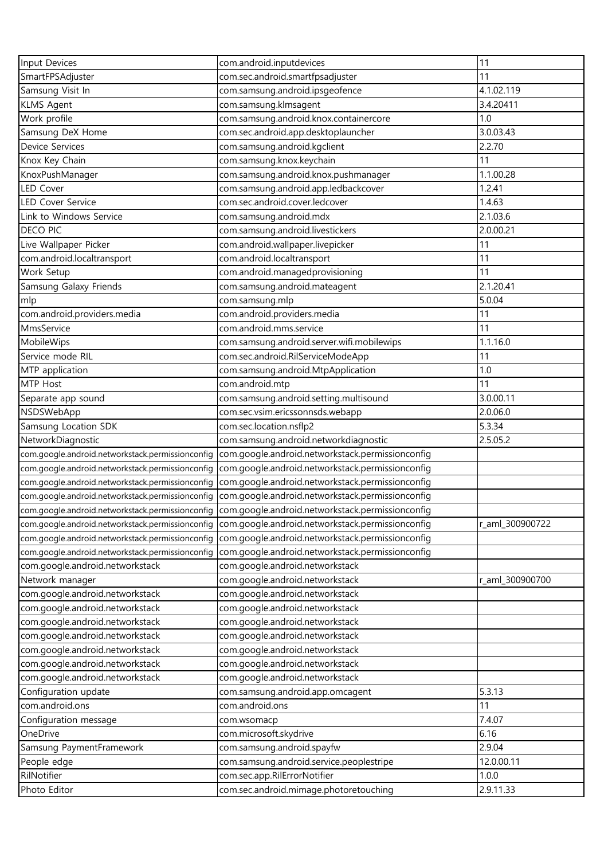| Input Devices                                    | com.android.inputdevices                                                                          | 11              |
|--------------------------------------------------|---------------------------------------------------------------------------------------------------|-----------------|
| SmartFPSAdjuster                                 | com.sec.android.smartfpsadjuster                                                                  | 11              |
| Samsung Visit In                                 | com.samsung.android.ipsgeofence                                                                   | 4.1.02.119      |
| <b>KLMS Agent</b>                                | com.samsung.klmsagent                                                                             | 3.4.20411       |
| Work profile                                     | com.samsung.android.knox.containercore                                                            | 1.0             |
| Samsung DeX Home                                 | com.sec.android.app.desktoplauncher                                                               | 3.0.03.43       |
| Device Services                                  | com.samsung.android.kgclient                                                                      | 2.2.70          |
| Knox Key Chain                                   | com.samsung.knox.keychain                                                                         | 11              |
| KnoxPushManager                                  | com.samsung.android.knox.pushmanager                                                              | 1.1.00.28       |
| <b>LED Cover</b>                                 | com.samsung.android.app.ledbackcover                                                              | 1.2.41          |
| LED Cover Service                                | com.sec.android.cover.ledcover                                                                    | 1.4.63          |
| Link to Windows Service                          | com.samsung.android.mdx                                                                           | 2.1.03.6        |
| <b>DECO PIC</b>                                  | com.samsung.android.livestickers                                                                  | 2.0.00.21       |
| Live Wallpaper Picker                            | com.android.wallpaper.livepicker                                                                  | 11              |
| com.android.localtransport                       | com.android.localtransport                                                                        | 11              |
| Work Setup                                       | com.android.managedprovisioning                                                                   | 11              |
| Samsung Galaxy Friends                           | com.samsung.android.mateagent                                                                     | 2.1.20.41       |
| mlp                                              | com.samsung.mlp                                                                                   | 5.0.04          |
| com.android.providers.media                      | com.android.providers.media                                                                       | 11              |
| MmsService                                       | com.android.mms.service                                                                           | 11              |
| MobileWips                                       | com.samsung.android.server.wifi.mobilewips                                                        | 1.1.16.0        |
| Service mode RIL                                 | com.sec.android.RilServiceModeApp                                                                 | 11              |
| MTP application                                  | com.samsung.android.MtpApplication                                                                | 1.0             |
| MTP Host                                         | com.android.mtp                                                                                   | 11              |
| Separate app sound                               | com.samsung.android.setting.multisound                                                            | 3.0.00.11       |
| NSDSWebApp                                       | com.sec.vsim.ericssonnsds.webapp                                                                  | 2.0.06.0        |
| Samsung Location SDK                             | com.sec.location.nsflp2                                                                           | 5.3.34          |
| NetworkDiagnostic                                | com.samsung.android.networkdiagnostic                                                             | 2.5.05.2        |
| com.google.android.networkstack.permissionconfig | com.google.android.networkstack.permissionconfig                                                  |                 |
| com.google.android.networkstack.permissionconfig | com.google.android.networkstack.permissionconfig                                                  |                 |
| com.google.android.networkstack.permissionconfig | com.google.android.networkstack.permissionconfig                                                  |                 |
|                                                  | com.google.android.networkstack.permissionconfig com.google.android.networkstack.permissionconfig |                 |
|                                                  | com.google.android.networkstack.permissionconfig com.google.android.networkstack.permissionconfig |                 |
|                                                  | com.google.android.networkstack.permissionconfig com.google.android.networkstack.permissionconfig | r_aml_300900722 |
| com.google.android.networkstack.permissionconfig | com.google.android.networkstack.permissionconfig                                                  |                 |
| com.google.android.networkstack.permissionconfig | com.google.android.networkstack.permissionconfig                                                  |                 |
| com.google.android.networkstack                  | com.google.android.networkstack                                                                   |                 |
| Network manager                                  | com.google.android.networkstack                                                                   | r_aml_300900700 |
| com.google.android.networkstack                  | com.google.android.networkstack                                                                   |                 |
| com.google.android.networkstack                  | com.google.android.networkstack                                                                   |                 |
| com.google.android.networkstack                  | com.google.android.networkstack                                                                   |                 |
| com.google.android.networkstack                  | com.google.android.networkstack                                                                   |                 |
| com.google.android.networkstack                  | com.google.android.networkstack                                                                   |                 |
| com.google.android.networkstack                  | com.google.android.networkstack                                                                   |                 |
| com.google.android.networkstack                  | com.google.android.networkstack                                                                   |                 |
| Configuration update                             | com.samsung.android.app.omcagent                                                                  | 5.3.13          |
| com.android.ons                                  | com.android.ons                                                                                   | 11              |
| Configuration message                            | com.wsomacp                                                                                       | 7.4.07          |
| OneDrive                                         | com.microsoft.skydrive                                                                            | 6.16            |
| Samsung PaymentFramework                         | com.samsung.android.spayfw                                                                        | 2.9.04          |
| People edge                                      | com.samsung.android.service.peoplestripe                                                          | 12.0.00.11      |
| RilNotifier                                      | com.sec.app.RilErrorNotifier                                                                      | 1.0.0           |
| Photo Editor                                     | com.sec.android.mimage.photoretouching                                                            | 2.9.11.33       |
|                                                  |                                                                                                   |                 |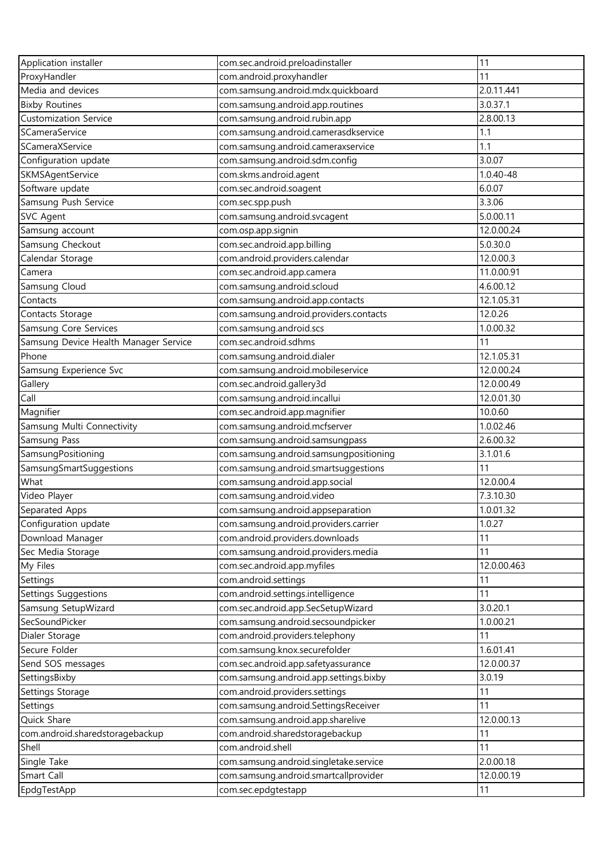| Application installer                 | com.sec.android.preloadinstaller                                          | 11                   |
|---------------------------------------|---------------------------------------------------------------------------|----------------------|
| ProxyHandler                          | com.android.proxyhandler                                                  | 11                   |
| Media and devices                     | com.samsung.android.mdx.quickboard                                        | 2.0.11.441           |
| <b>Bixby Routines</b>                 | com.samsung.android.app.routines                                          | 3.0.37.1             |
| <b>Customization Service</b>          | com.samsung.android.rubin.app                                             | 2.8.00.13            |
| SCameraService                        | com.samsung.android.camerasdkservice                                      | 1.1                  |
| SCameraXService                       | com.samsung.android.cameraxservice                                        | 1.1                  |
| Configuration update                  | com.samsung.android.sdm.config                                            | 3.0.07               |
| SKMSAgentService                      | com.skms.android.agent                                                    | $1.0.40 - 48$        |
| Software update                       | com.sec.android.soagent                                                   | 6.0.07               |
| Samsung Push Service                  | com.sec.spp.push                                                          | 3.3.06               |
| <b>SVC Agent</b>                      | com.samsung.android.svcagent                                              | 5.0.00.11            |
| Samsung account                       | com.osp.app.signin                                                        | 12.0.00.24           |
| Samsung Checkout                      | com.sec.android.app.billing                                               | 5.0.30.0             |
| Calendar Storage                      | com.android.providers.calendar                                            | 12.0.00.3            |
| Camera                                | com.sec.android.app.camera                                                | 11.0.00.91           |
| Samsung Cloud                         | com.samsung.android.scloud                                                | 4.6.00.12            |
| Contacts                              | com.samsung.android.app.contacts                                          | 12.1.05.31           |
| Contacts Storage                      | com.samsung.android.providers.contacts                                    | 12.0.26              |
| Samsung Core Services                 | com.samsung.android.scs                                                   | 1.0.00.32            |
| Samsung Device Health Manager Service | com.sec.android.sdhms                                                     | 11                   |
| Phone                                 | com.samsung.android.dialer                                                | 12.1.05.31           |
| Samsung Experience Svc                | com.samsung.android.mobileservice                                         | 12.0.00.24           |
|                                       |                                                                           | 12.0.00.49           |
| Gallery<br>Call                       | com.sec.android.gallery3d                                                 | 12.0.01.30           |
|                                       | com.samsung.android.incallui                                              |                      |
| Magnifier                             | com.sec.android.app.magnifier                                             | 10.0.60<br>1.0.02.46 |
| Samsung Multi Connectivity            | com.samsung.android.mcfserver                                             | 2.6.00.32            |
| Samsung Pass                          | com.samsung.android.samsungpass<br>com.samsung.android.samsungpositioning | 3.1.01.6             |
| SamsungPositioning                    | com.samsung.android.smartsuggestions                                      | 11                   |
| SamsungSmartSuggestions<br>What       | com.samsung.android.app.social                                            | 12.0.00.4            |
| Video Player                          |                                                                           | 7.3.10.30            |
|                                       | com.samsung.android.video                                                 |                      |
| Separated Apps                        | com.samsung.android.appseparation                                         | 1.0.01.32<br>1.0.27  |
| Configuration update                  | com.samsung.android.providers.carrier                                     | 11                   |
| Download Manager                      | com.android.providers.downloads                                           |                      |
| Sec Media Storage                     | com.samsung.android.providers.media                                       | 11                   |
| My Files                              | com.sec.android.app.myfiles                                               | 12.0.00.463          |
| Settings                              | com.android.settings                                                      | 11                   |
| Settings Suggestions                  | com.android.settings.intelligence                                         | 11                   |
| Samsung SetupWizard                   | com.sec.android.app.SecSetupWizard                                        | 3.0.20.1             |
| SecSoundPicker                        | com.samsung.android.secsoundpicker                                        | 1.0.00.21            |
| Dialer Storage                        | com.android.providers.telephony                                           | 11                   |
| Secure Folder                         | com.samsung.knox.securefolder                                             | 1.6.01.41            |
| Send SOS messages                     | com.sec.android.app.safetyassurance                                       | 12.0.00.37           |
| SettingsBixby                         | com.samsung.android.app.settings.bixby                                    | 3.0.19               |
| Settings Storage                      | com.android.providers.settings                                            | 11                   |
| Settings                              | com.samsung.android.SettingsReceiver                                      | 11                   |
| Quick Share                           | com.samsung.android.app.sharelive                                         | 12.0.00.13           |
| com.android.sharedstoragebackup       | com.android.sharedstoragebackup                                           | 11                   |
| Shell                                 | com.android.shell                                                         | 11                   |
| Single Take                           | com.samsung.android.singletake.service                                    | 2.0.00.18            |
| Smart Call                            | com.samsung.android.smartcallprovider                                     | 12.0.00.19           |
| EpdgTestApp                           | com.sec.epdgtestapp                                                       | 11                   |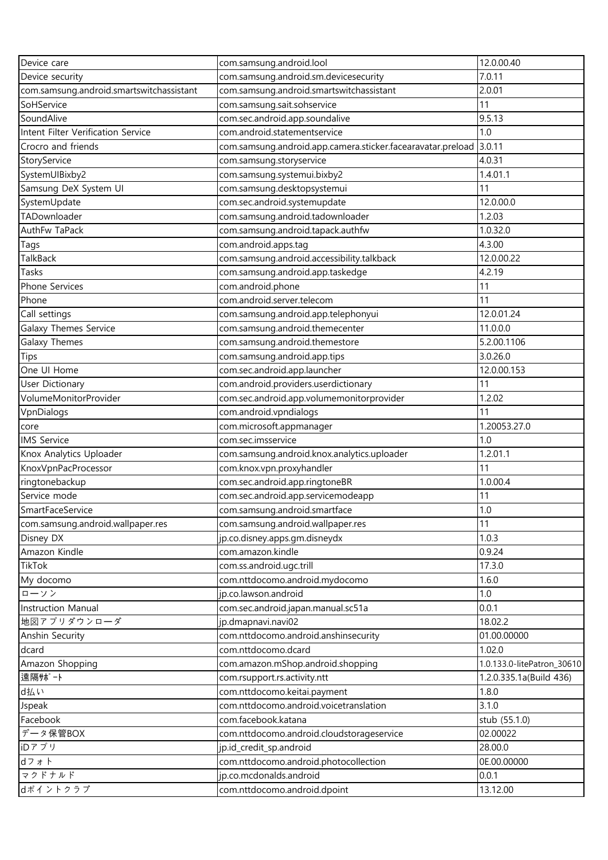| Device care                              | com.samsung.android.lool                                          | 12.0.00.40                 |
|------------------------------------------|-------------------------------------------------------------------|----------------------------|
| Device security                          | com.samsung.android.sm.devicesecurity                             | 7.0.11                     |
| com.samsung.android.smartswitchassistant | com.samsung.android.smartswitchassistant                          | 2.0.01                     |
| SoHService                               | com.samsung.sait.sohservice                                       | 11                         |
| SoundAlive                               | com.sec.android.app.soundalive                                    | 9.5.13                     |
| Intent Filter Verification Service       | com.android.statementservice                                      | 1.0                        |
| Crocro and friends                       | com.samsung.android.app.camera.sticker.facearavatar.preload       | 3.0.11                     |
| StoryService                             | com.samsung.storyservice                                          | 4.0.31                     |
| SystemUIBixby2                           | com.samsung.systemui.bixby2                                       | 1.4.01.1                   |
| Samsung DeX System UI                    | com.samsung.desktopsystemui                                       | 11                         |
| SystemUpdate                             | com.sec.android.systemupdate                                      | 12.0.00.0                  |
| TADownloader                             | com.samsung.android.tadownloader                                  | 1.2.03                     |
| AuthFw TaPack                            | com.samsung.android.tapack.authfw                                 | 1.0.32.0                   |
| Tags                                     | com.android.apps.tag                                              | 4.3.00                     |
| TalkBack                                 | com.samsung.android.accessibility.talkback                        | 12.0.00.22                 |
| Tasks                                    | com.samsung.android.app.taskedge                                  | 4.2.19                     |
| Phone Services                           | com.android.phone                                                 | 11                         |
| Phone                                    | com.android.server.telecom                                        | 11                         |
| Call settings                            | com.samsung.android.app.telephonyui                               | 12.0.01.24                 |
| Galaxy Themes Service                    | com.samsung.android.themecenter                                   | 11.0.0.0                   |
| Galaxy Themes                            | com.samsung.android.themestore                                    | 5.2.00.1106                |
| Tips                                     | com.samsung.android.app.tips                                      | 3.0.26.0                   |
| One UI Home                              | com.sec.android.app.launcher                                      | 12.0.00.153                |
| <b>User Dictionary</b>                   | com.android.providers.userdictionary                              | 11                         |
| VolumeMonitorProvider                    | com.sec.android.app.volumemonitorprovider                         | 1.2.02                     |
|                                          |                                                                   |                            |
| VpnDialogs                               | com.android.vpndialogs                                            | 11<br>1.20053.27.0         |
| core                                     | com.microsoft.appmanager                                          | 1.0                        |
| <b>IMS</b> Service                       | com.sec.imsservice<br>com.samsung.android.knox.analytics.uploader | 1.2.01.1                   |
| Knox Analytics Uploader                  | com.knox.vpn.proxyhandler                                         | 11                         |
| KnoxVpnPacProcessor                      | com.sec.android.app.ringtoneBR                                    | 1.0.00.4                   |
| ringtonebackup<br>Service mode           |                                                                   |                            |
|                                          | com.sec.android.app.servicemodeapp                                | 11<br>1.0                  |
| SmartFaceService                         | com.samsung.android.smartface                                     | 11                         |
| com.samsung.android.wallpaper.res        | com.samsung.android.wallpaper.res                                 | 1.0.3                      |
| Disney DX                                | jp.co.disney.apps.gm.disneydx                                     |                            |
| Amazon Kindle                            | com.amazon.kindle                                                 | 0.9.24                     |
| <b>TikTok</b>                            | com.ss.android.ugc.trill                                          | 17.3.0                     |
| My docomo                                | com.nttdocomo.android.mydocomo                                    | 1.6.0                      |
| ローソン                                     | jp.co.lawson.android                                              | 1.0                        |
| <b>Instruction Manual</b>                | com.sec.android.japan.manual.sc51a                                | 0.0.1                      |
| 地図アプリダウンローダ                              | jp.dmapnavi.navi02                                                | 18.02.2                    |
| Anshin Security                          | com.nttdocomo.android.anshinsecurity                              | 01.00.00000                |
| dcard                                    | com.nttdocomo.dcard                                               | 1.02.0                     |
| Amazon Shopping                          | com.amazon.mShop.android.shopping                                 | 1.0.133.0-litePatron_30610 |
| 遠隔サポート                                   | com.rsupport.rs.activity.ntt                                      | 1.2.0.335.1a(Build 436)    |
| d払い                                      | com.nttdocomo.keitai.payment                                      | 1.8.0                      |
| Jspeak                                   | com.nttdocomo.android.voicetranslation                            | 3.1.0                      |
| Facebook                                 | com.facebook.katana                                               | stub (55.1.0)              |
| データ保管BOX                                 | com.nttdocomo.android.cloudstorageservice                         | 02.00022                   |
| iDアプリ                                    | jp.id_credit_sp.android                                           | 28.00.0                    |
| dフォト                                     | com.nttdocomo.android.photocollection                             | 0E.00.00000                |
| マクドナルド                                   | jp.co.mcdonalds.android                                           | 0.0.1                      |
| dポイントクラブ                                 | com.nttdocomo.android.dpoint                                      | 13.12.00                   |